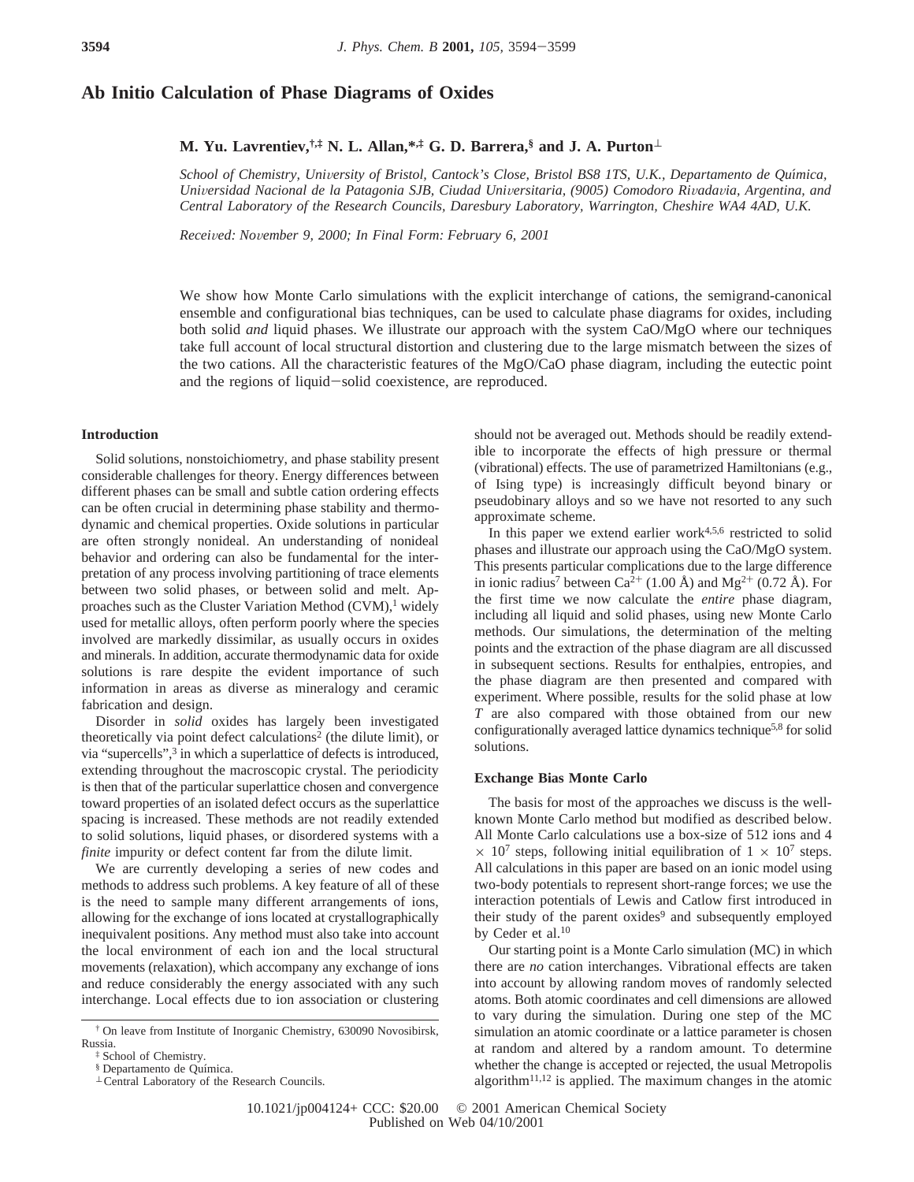# **Ab Initio Calculation of Phase Diagrams of Oxides**

# **M. Yu. Lavrentiev,†,‡ N. L. Allan,\*,‡ G. D. Barrera,§ and J. A. Purton**<sup>⊥</sup>

*School of Chemistry, Uni*V*ersity of Bristol, Cantock's Close, Bristol BS8 1TS, U.K., Departamento de Quı*´*mica, Uni*V*ersidad Nacional de la Patagonia SJB, Ciudad Uni*V*ersitaria, (9005) Comodoro Ri*V*ada*V*ia, Argentina, and Central Laboratory of the Research Councils, Daresbury Laboratory, Warrington, Cheshire WA4 4AD, U.K.*

*Recei*V*ed: No*V*ember 9, 2000; In Final Form: February 6, 2001*

We show how Monte Carlo simulations with the explicit interchange of cations, the semigrand-canonical ensemble and configurational bias techniques, can be used to calculate phase diagrams for oxides, including both solid *and* liquid phases. We illustrate our approach with the system CaO/MgO where our techniques take full account of local structural distortion and clustering due to the large mismatch between the sizes of the two cations. All the characteristic features of the MgO/CaO phase diagram, including the eutectic point and the regions of liquid-solid coexistence, are reproduced.

# **Introduction**

Solid solutions, nonstoichiometry, and phase stability present considerable challenges for theory. Energy differences between different phases can be small and subtle cation ordering effects can be often crucial in determining phase stability and thermodynamic and chemical properties. Oxide solutions in particular are often strongly nonideal. An understanding of nonideal behavior and ordering can also be fundamental for the interpretation of any process involving partitioning of trace elements between two solid phases, or between solid and melt. Approaches such as the Cluster Variation Method  $(CVM)$ ,<sup>1</sup> widely used for metallic alloys, often perform poorly where the species involved are markedly dissimilar, as usually occurs in oxides and minerals. In addition, accurate thermodynamic data for oxide solutions is rare despite the evident importance of such information in areas as diverse as mineralogy and ceramic fabrication and design.

Disorder in *solid* oxides has largely been investigated theoretically via point defect calculations<sup>2</sup> (the dilute limit), or via "supercells",<sup>3</sup> in which a superlattice of defects is introduced, extending throughout the macroscopic crystal. The periodicity is then that of the particular superlattice chosen and convergence toward properties of an isolated defect occurs as the superlattice spacing is increased. These methods are not readily extended to solid solutions, liquid phases, or disordered systems with a *finite* impurity or defect content far from the dilute limit.

We are currently developing a series of new codes and methods to address such problems. A key feature of all of these is the need to sample many different arrangements of ions, allowing for the exchange of ions located at crystallographically inequivalent positions. Any method must also take into account the local environment of each ion and the local structural movements (relaxation), which accompany any exchange of ions and reduce considerably the energy associated with any such interchange. Local effects due to ion association or clustering

should not be averaged out. Methods should be readily extendible to incorporate the effects of high pressure or thermal (vibrational) effects. The use of parametrized Hamiltonians (e.g., of Ising type) is increasingly difficult beyond binary or pseudobinary alloys and so we have not resorted to any such approximate scheme.

In this paper we extend earlier work4,5,6 restricted to solid phases and illustrate our approach using the CaO/MgO system. This presents particular complications due to the large difference in ionic radius<sup>7</sup> between Ca<sup>2+</sup> (1.00 Å) and Mg<sup>2+</sup> (0.72 Å). For the first time we now calculate the *entire* phase diagram, including all liquid and solid phases, using new Monte Carlo methods. Our simulations, the determination of the melting points and the extraction of the phase diagram are all discussed in subsequent sections. Results for enthalpies, entropies, and the phase diagram are then presented and compared with experiment. Where possible, results for the solid phase at low *T* are also compared with those obtained from our new configurationally averaged lattice dynamics technique<sup>5,8</sup> for solid solutions.

### **Exchange Bias Monte Carlo**

The basis for most of the approaches we discuss is the wellknown Monte Carlo method but modified as described below. All Monte Carlo calculations use a box-size of 512 ions and 4  $\times$  10<sup>7</sup> steps, following initial equilibration of 1  $\times$  10<sup>7</sup> steps. All calculations in this paper are based on an ionic model using two-body potentials to represent short-range forces; we use the interaction potentials of Lewis and Catlow first introduced in their study of the parent oxides<sup>9</sup> and subsequently employed by Ceder et al.<sup>10</sup>

Our starting point is a Monte Carlo simulation (MC) in which there are *no* cation interchanges. Vibrational effects are taken into account by allowing random moves of randomly selected atoms. Both atomic coordinates and cell dimensions are allowed to vary during the simulation. During one step of the MC simulation an atomic coordinate or a lattice parameter is chosen at random and altered by a random amount. To determine whether the change is accepted or rejected, the usual Metropolis algorithm<sup>11,12</sup> is applied. The maximum changes in the atomic

<sup>†</sup> On leave from Institute of Inorganic Chemistry, 630090 Novosibirsk, Russia.

<sup>&</sup>lt;sup>‡</sup> School of Chemistry.<br>§ Departamento de Química.

<sup>⊥</sup> Central Laboratory of the Research Councils.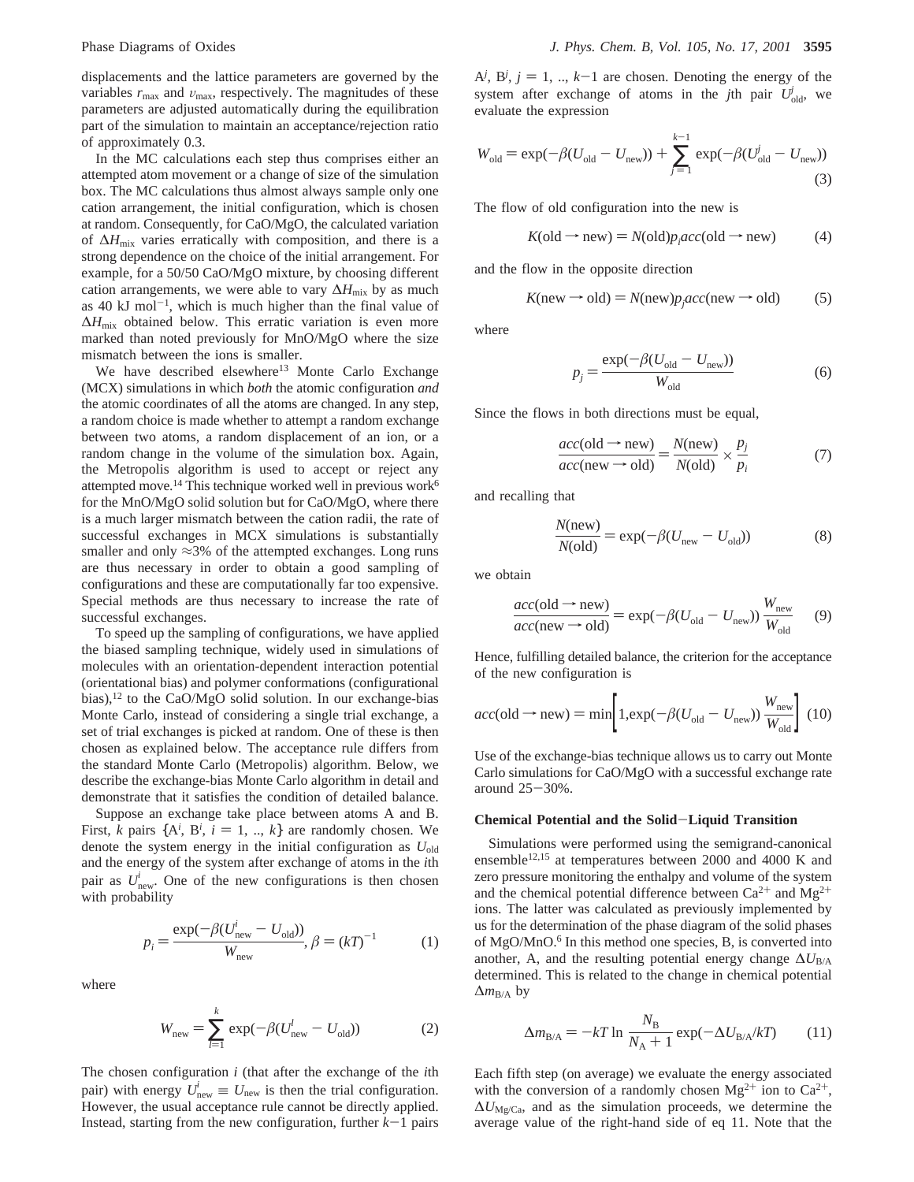displacements and the lattice parameters are governed by the variables  $r_{\text{max}}$  and  $v_{\text{max}}$ , respectively. The magnitudes of these parameters are adjusted automatically during the equilibration part of the simulation to maintain an acceptance/rejection ratio of approximately 0.3.

In the MC calculations each step thus comprises either an attempted atom movement or a change of size of the simulation box. The MC calculations thus almost always sample only one cation arrangement, the initial configuration, which is chosen at random. Consequently, for CaO/MgO, the calculated variation of ∆*H*mix varies erratically with composition, and there is a strong dependence on the choice of the initial arrangement. For example, for a 50/50 CaO/MgO mixture, by choosing different cation arrangements, we were able to vary ∆*H*mix by as much as 40 kJ mol<sup> $-1$ </sup>, which is much higher than the final value of ∆*H*mix obtained below. This erratic variation is even more marked than noted previously for MnO/MgO where the size mismatch between the ions is smaller.

We have described elsewhere<sup>13</sup> Monte Carlo Exchange (MCX) simulations in which *both* the atomic configuration *and* the atomic coordinates of all the atoms are changed. In any step, a random choice is made whether to attempt a random exchange between two atoms, a random displacement of an ion, or a random change in the volume of the simulation box. Again, the Metropolis algorithm is used to accept or reject any attempted move.<sup>14</sup> This technique worked well in previous work<sup>6</sup> for the MnO/MgO solid solution but for CaO/MgO, where there is a much larger mismatch between the cation radii, the rate of successful exchanges in MCX simulations is substantially smaller and only  $\approx$ 3% of the attempted exchanges. Long runs are thus necessary in order to obtain a good sampling of configurations and these are computationally far too expensive. Special methods are thus necessary to increase the rate of successful exchanges.

To speed up the sampling of configurations, we have applied the biased sampling technique, widely used in simulations of molecules with an orientation-dependent interaction potential (orientational bias) and polymer conformations (configurational bias),<sup>12</sup> to the CaO/MgO solid solution. In our exchange-bias Monte Carlo, instead of considering a single trial exchange, a set of trial exchanges is picked at random. One of these is then chosen as explained below. The acceptance rule differs from the standard Monte Carlo (Metropolis) algorithm. Below, we describe the exchange-bias Monte Carlo algorithm in detail and demonstrate that it satisfies the condition of detailed balance.

Suppose an exchange take place between atoms A and B. First, *k* pairs  $\{A^i, B^i, i = 1, ..., k\}$  are randomly chosen. We denote the system energy in the initial configuration as  $U_{ij}$ denote the system energy in the initial configuration as *U*old and the energy of the system after exchange of atoms in the *i*th pair as  $U_{\text{new}}^i$ . One of the new configurations is then chosen with probability

$$
p_i = \frac{\exp(-\beta (U_{\text{new}}^i - U_{\text{old}}))}{W_{\text{new}}}, \beta = (kT)^{-1}
$$
 (1)

where

$$
W_{\text{new}} = \sum_{l=1}^{k} \exp(-\beta (U_{\text{new}}^{l} - U_{\text{old}}))
$$
 (2)

The chosen configuration *i* (that after the exchange of the *i*th pair) with energy  $U_{\text{new}}^i \equiv U_{\text{new}}$  is then the trial configuration. However, the usual acceptance rule cannot be directly applied. Instead, starting from the new configuration, further  $k-1$  pairs

 $A^j$ ,  $B^j$ ,  $j = 1, ..., k-1$  are chosen. Denoting the energy of the exchange of atoms in the ith pair  $I^j$  we system after exchange of atoms in the *j*th pair  $U_{old}^j$ , we evaluate the expression

$$
W_{\text{old}} = \exp(-\beta (U_{\text{old}} - U_{\text{new}})) + \sum_{j=1}^{k-1} \exp(-\beta (U_{\text{old}}^{j} - U_{\text{new}}))
$$
\n(3)

The flow of old configuration into the new is

$$
K(\text{old} \to \text{new}) = N(\text{old})p_iacc(\text{old} \to \text{new})
$$
 (4)

and the flow in the opposite direction

$$
K(new \to old) = N(new)p_jacc(new \to old)
$$
 (5)

where

$$
p_j = \frac{\exp(-\beta (U_{\text{old}} - U_{\text{new}}))}{W_{\text{old}}}
$$
(6)

Since the flows in both directions must be equal,

$$
\frac{acc(\text{old} \rightarrow \text{new})}{acc(\text{new} \rightarrow \text{old})} = \frac{N(\text{new})}{N(\text{old})} \times \frac{p_j}{p_i}
$$
(7)

and recalling that

$$
\frac{N(\text{new})}{N(\text{old})} = \exp(-\beta (U_{\text{new}} - U_{\text{old}}))
$$
 (8)

we obtain

$$
\frac{acc(\text{old} \rightarrow \text{new})}{acc(\text{new} \rightarrow \text{old})} = \exp(-\beta (U_{\text{old}} - U_{\text{new}})) \frac{W_{\text{new}}}{W_{\text{old}}}
$$
(9)

Hence, fulfilling detailed balance, the criterion for the acceptance of the new configuration is

$$
acc(\text{old} \rightarrow \text{new}) = \min\left[1, \exp(-\beta (U_{\text{old}} - U_{\text{new}})) \frac{W_{\text{new}}}{W_{\text{old}}}\right] (10)
$$

Use of the exchange-bias technique allows us to carry out Monte Carlo simulations for CaO/MgO with a successful exchange rate around 25-30%.

# **Chemical Potential and the Solid**-**Liquid Transition**

Simulations were performed using the semigrand-canonical ensemble<sup>12,15</sup> at temperatures between 2000 and 4000 K and zero pressure monitoring the enthalpy and volume of the system and the chemical potential difference between  $Ca^{2+}$  and  $Mg^{2+}$ ions. The latter was calculated as previously implemented by us for the determination of the phase diagram of the solid phases of MgO/MnO.<sup>6</sup> In this method one species, B, is converted into another, A, and the resulting potential energy change  $\Delta U_{\text{B/A}}$ determined. This is related to the change in chemical potential ∆*m*B/A by

$$
\Delta m_{\text{B/A}} = -kT \ln \left\langle \frac{N_{\text{B}}}{N_{\text{A}} + 1} \exp(-\Delta U_{\text{B/A}}/kT) \right\rangle \tag{11}
$$

Each fifth step (on average) we evaluate the energy associated with the conversion of a randomly chosen  $Mg^{2+}$  ion to  $Ca^{2+}$ ,  $\Delta U_{\text{Mg/Ca}}$ , and as the simulation proceeds, we determine the average value of the right-hand side of eq 11. Note that the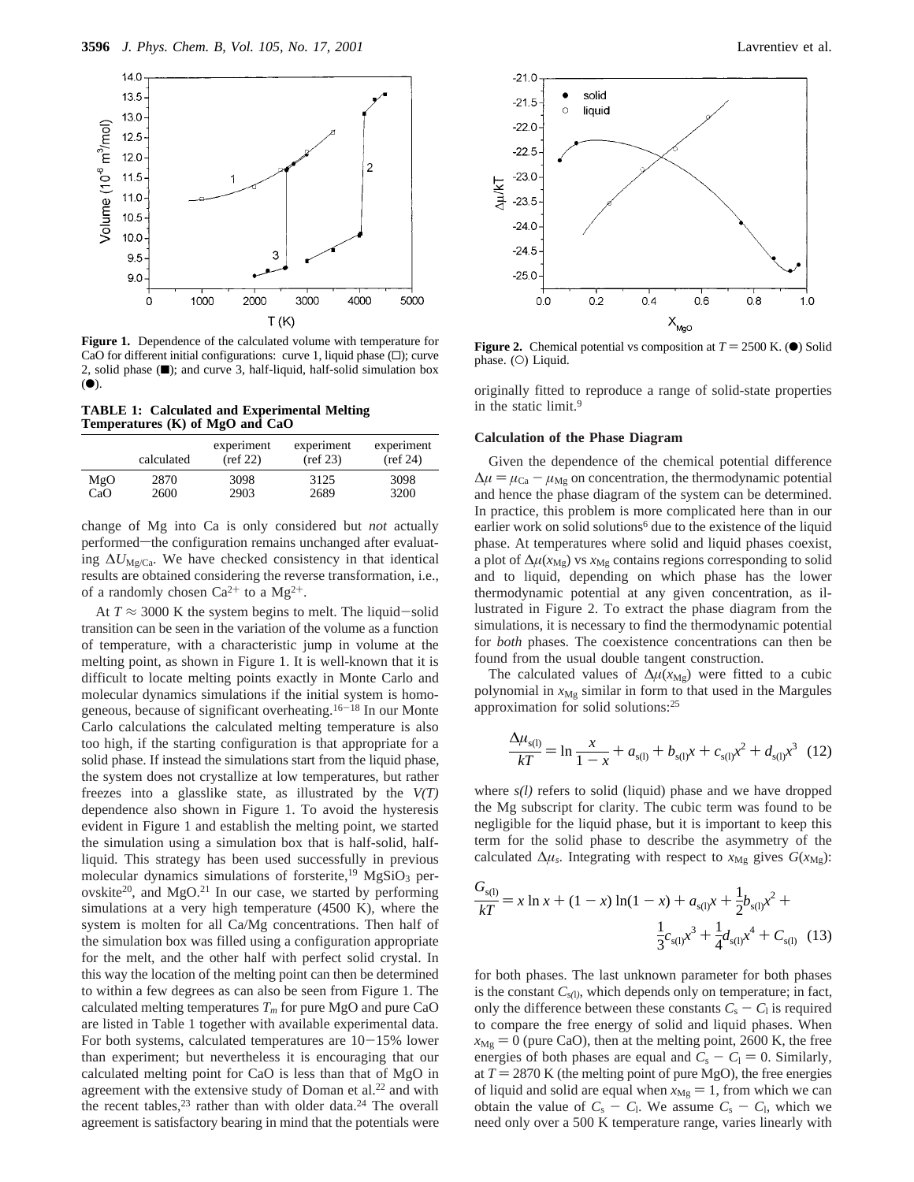

**Figure 1.** Dependence of the calculated volume with temperature for CaO for different initial configurations: curve 1, liquid phase  $(\Box)$ ; curve 2, solid phase  $(\blacksquare)$ ; and curve 3, half-liquid, half-solid simulation box (b).

**TABLE 1: Calculated and Experimental Melting Temperatures (K) of MgO and CaO**

|     | calculated | experiment<br>$(\text{ref } 22)$ | experiment<br>$(\text{ref } 23)$ | experiment<br>$(\text{ref } 24)$ |
|-----|------------|----------------------------------|----------------------------------|----------------------------------|
| MgO | 2870       | 3098                             | 3125                             | 3098                             |
| CaO | 2600       | 2903                             | 2689                             | 3200                             |

change of Mg into Ca is only considered but *not* actually performed—the configuration remains unchanged after evaluating ∆*U*Mg/Ca. We have checked consistency in that identical results are obtained considering the reverse transformation, i.e., of a randomly chosen  $Ca^{2+}$  to a Mg<sup>2+</sup>.

At  $T \approx 3000$  K the system begins to melt. The liquid-solid transition can be seen in the variation of the volume as a function of temperature, with a characteristic jump in volume at the melting point, as shown in Figure 1. It is well-known that it is difficult to locate melting points exactly in Monte Carlo and molecular dynamics simulations if the initial system is homogeneous, because of significant overheating.16-<sup>18</sup> In our Monte Carlo calculations the calculated melting temperature is also too high, if the starting configuration is that appropriate for a solid phase. If instead the simulations start from the liquid phase, the system does not crystallize at low temperatures, but rather freezes into a glasslike state, as illustrated by the *V(T)* dependence also shown in Figure 1. To avoid the hysteresis evident in Figure 1 and establish the melting point, we started the simulation using a simulation box that is half-solid, halfliquid. This strategy has been used successfully in previous molecular dynamics simulations of forsterite,<sup>19</sup> MgSiO<sub>3</sub> perovskite<sup>20</sup>, and MgO.<sup>21</sup> In our case, we started by performing simulations at a very high temperature (4500 K), where the system is molten for all Ca/Mg concentrations. Then half of the simulation box was filled using a configuration appropriate for the melt, and the other half with perfect solid crystal. In this way the location of the melting point can then be determined to within a few degrees as can also be seen from Figure 1. The calculated melting temperatures  $T_m$  for pure MgO and pure CaO are listed in Table 1 together with available experimental data. For both systems, calculated temperatures are  $10-15%$  lower than experiment; but nevertheless it is encouraging that our calculated melting point for CaO is less than that of MgO in agreement with the extensive study of Doman et al.<sup>22</sup> and with the recent tables,  $23$  rather than with older data.  $24$  The overall agreement is satisfactory bearing in mind that the potentials were



**Figure 2.** Chemical potential vs composition at  $T = 2500$  K. ( $\bullet$ ) Solid phase. (O) Liquid.

originally fitted to reproduce a range of solid-state properties in the static limit.9

#### **Calculation of the Phase Diagram**

Given the dependence of the chemical potential difference  $\Delta \mu = \mu_{Ca} - \mu_{Mg}$  on concentration, the thermodynamic potential and hence the phase diagram of the system can be determined. In practice, this problem is more complicated here than in our earlier work on solid solutions<sup>6</sup> due to the existence of the liquid phase. At temperatures where solid and liquid phases coexist, a plot of ∆*µ*(*x*Mg) vs *x*Mg contains regions corresponding to solid and to liquid, depending on which phase has the lower thermodynamic potential at any given concentration, as illustrated in Figure 2. To extract the phase diagram from the simulations, it is necessary to find the thermodynamic potential for *both* phases. The coexistence concentrations can then be found from the usual double tangent construction.

The calculated values of  $\Delta \mu(x_{\text{Mg}})$  were fitted to a cubic polynomial in  $x_{Mg}$  similar in form to that used in the Margules approximation for solid solutions:25

$$
\frac{\Delta\mu_{s(l)}}{kT} = \ln\frac{x}{1-x} + a_{s(l)} + b_{s(l)}x + c_{s(l)}x^2 + d_{s(l)}x^3
$$
 (12)

where *s(l)* refers to solid (liquid) phase and we have dropped the Mg subscript for clarity. The cubic term was found to be negligible for the liquid phase, but it is important to keep this term for the solid phase to describe the asymmetry of the calculated  $\Delta \mu_s$ . Integrating with respect to  $x_{Mg}$  gives  $G(x_{Mg})$ :

$$
\frac{G_{s(l)}}{kT} = x \ln x + (1 - x) \ln(1 - x) + a_{s(l)}x + \frac{1}{2}b_{s(l)}x^2 + \frac{1}{3}c_{s(l)}x^3 + \frac{1}{4}d_{s(l)}x^4 + C_{s(l)} \quad (13)
$$

for both phases. The last unknown parameter for both phases is the constant  $C_{s(l)}$ , which depends only on temperature; in fact, only the difference between these constants  $C_s - C_l$  is required to compare the free energy of solid and liquid phases. When  $x_{\text{Mg}} = 0$  (pure CaO), then at the melting point, 2600 K, the free energies of both phases are equal and  $C_s - C_l = 0$ . Similarly, at  $T = 2870$  K (the melting point of pure MgO), the free energies of liquid and solid are equal when  $x_{Mg} = 1$ , from which we can obtain the value of  $C_s - C_l$ . We assume  $C_s - C_l$ , which we need only over a 500 K temperature range, varies linearly with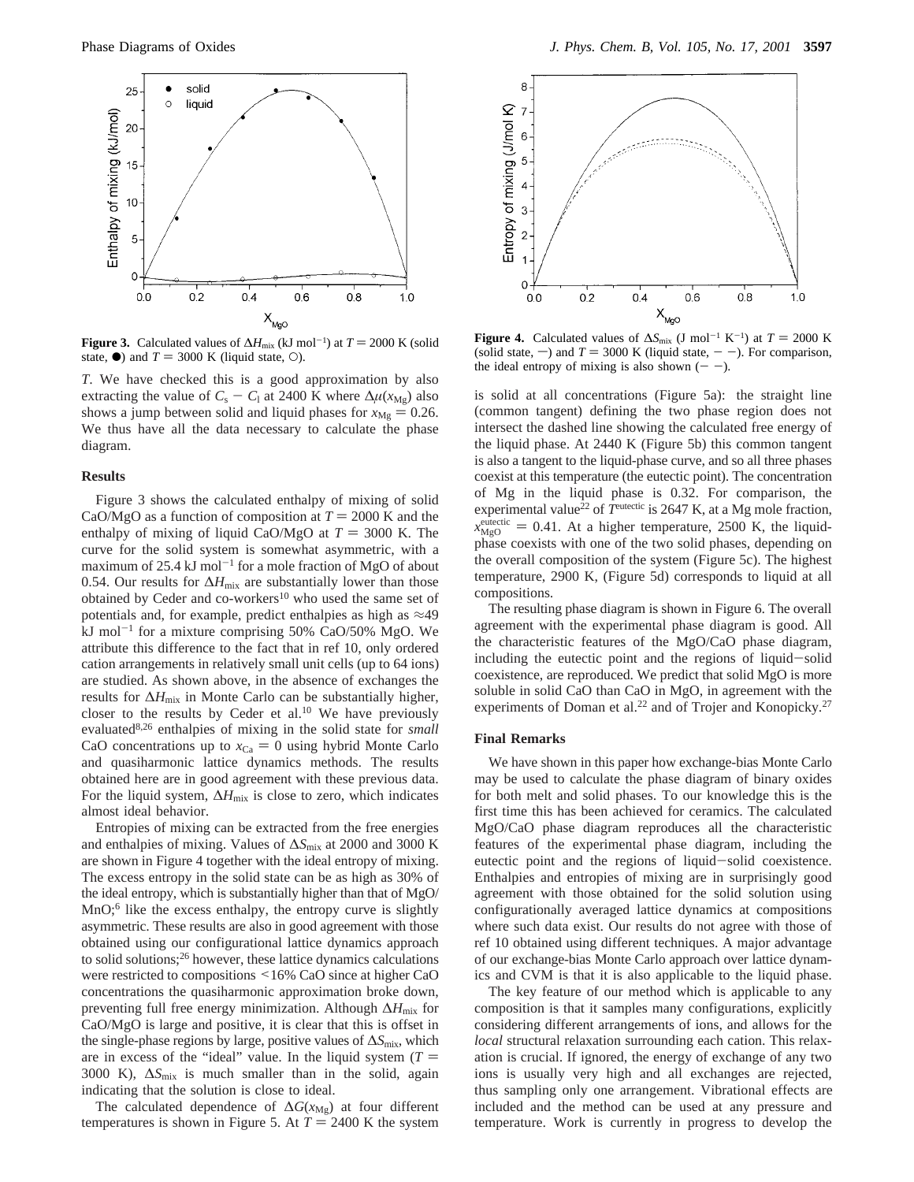

**Figure 3.** Calculated values of  $\Delta H_{\text{mix}}$  (kJ mol<sup>-1</sup>) at *T* = 2000 K (solid state  $\odot$ ) and *T* = 3000 K (liquid state  $\odot$ ) state,  $\bullet$ ) and  $T = 3000$  K (liquid state, O).

*T*. We have checked this is a good approximation by also extracting the value of  $C_s - C_1$  at 2400 K where  $\Delta \mu(x_{\text{Me}})$  also shows a jump between solid and liquid phases for  $x_{\text{Mg}} = 0.26$ . We thus have all the data necessary to calculate the phase diagram.

# **Results**

Figure 3 shows the calculated enthalpy of mixing of solid CaO/MgO as a function of composition at  $T = 2000$  K and the enthalpy of mixing of liquid CaO/MgO at  $T = 3000$  K. The curve for the solid system is somewhat asymmetric, with a maximum of 25.4 kJ mol<sup>-1</sup> for a mole fraction of MgO of about 0.54. Our results for ∆*H*mix are substantially lower than those obtained by Ceder and co-workers<sup>10</sup> who used the same set of potentials and, for example, predict enthalpies as high as  $\approx$ 49  $kJ$  mol<sup>-1</sup> for a mixture comprising 50% CaO/50% MgO. We attribute this difference to the fact that in ref 10, only ordered cation arrangements in relatively small unit cells (up to 64 ions) are studied. As shown above, in the absence of exchanges the results for ∆*H*mix in Monte Carlo can be substantially higher, closer to the results by Ceder et al.<sup>10</sup> We have previously evaluated8,26 enthalpies of mixing in the solid state for *small* CaO concentrations up to  $x_{Ca} = 0$  using hybrid Monte Carlo and quasiharmonic lattice dynamics methods. The results obtained here are in good agreement with these previous data. For the liquid system, ∆*H*mix is close to zero, which indicates almost ideal behavior.

Entropies of mixing can be extracted from the free energies and enthalpies of mixing. Values of ∆*S*mix at 2000 and 3000 K are shown in Figure 4 together with the ideal entropy of mixing. The excess entropy in the solid state can be as high as 30% of the ideal entropy, which is substantially higher than that of MgO/ MnO;<sup>6</sup> like the excess enthalpy, the entropy curve is slightly asymmetric. These results are also in good agreement with those obtained using our configurational lattice dynamics approach to solid solutions;26 however, these lattice dynamics calculations were restricted to compositions <16% CaO since at higher CaO concentrations the quasiharmonic approximation broke down, preventing full free energy minimization. Although ∆*H*mix for CaO/MgO is large and positive, it is clear that this is offset in the single-phase regions by large, positive values of ∆*S*mix, which are in excess of the "ideal" value. In the liquid system  $(T =$ 3000 K), ∆*S*mix is much smaller than in the solid, again indicating that the solution is close to ideal.

The calculated dependence of  $\Delta G(x_{\text{Mg}})$  at four different temperatures is shown in Figure 5. At  $T = 2400$  K the system



**Figure 4.** Calculated values of  $\Delta S_{\text{mix}}$  (J mol<sup>-1</sup> K<sup>-1</sup>) at  $T = 2000$  K (solid state − ) and  $T = 3000$  K (liquid state − − ) For comparison (solid state,  $-$ ) and *T* = 3000 K (liquid state,  $-$  -). For comparison, the ideal entropy of mixing is also shown  $(- -)$ .

is solid at all concentrations (Figure 5a): the straight line (common tangent) defining the two phase region does not intersect the dashed line showing the calculated free energy of the liquid phase. At 2440 K (Figure 5b) this common tangent is also a tangent to the liquid-phase curve, and so all three phases coexist at this temperature (the eutectic point). The concentration of Mg in the liquid phase is 0.32. For comparison, the experimental value<sup>22</sup> of  $T^{\text{eutectic}}$  is 2647 K, at a Mg mole fraction,  $x_{\text{MgO}}^{\text{eulectic}} = 0.41$ . At a higher temperature, 2500 K, the liquid-<br>nhase coexists with one of the two solid phases depending on phase coexists with one of the two solid phases, depending on the overall composition of the system (Figure 5c). The highest temperature, 2900 K, (Figure 5d) corresponds to liquid at all compositions.

The resulting phase diagram is shown in Figure 6. The overall agreement with the experimental phase diagram is good. All the characteristic features of the MgO/CaO phase diagram, including the eutectic point and the regions of liquid-solid coexistence, are reproduced. We predict that solid MgO is more soluble in solid CaO than CaO in MgO, in agreement with the experiments of Doman et al.<sup>22</sup> and of Trojer and Konopicky.<sup>27</sup>

### **Final Remarks**

We have shown in this paper how exchange-bias Monte Carlo may be used to calculate the phase diagram of binary oxides for both melt and solid phases. To our knowledge this is the first time this has been achieved for ceramics. The calculated MgO/CaO phase diagram reproduces all the characteristic features of the experimental phase diagram, including the eutectic point and the regions of liquid-solid coexistence. Enthalpies and entropies of mixing are in surprisingly good agreement with those obtained for the solid solution using configurationally averaged lattice dynamics at compositions where such data exist. Our results do not agree with those of ref 10 obtained using different techniques. A major advantage of our exchange-bias Monte Carlo approach over lattice dynamics and CVM is that it is also applicable to the liquid phase.

The key feature of our method which is applicable to any composition is that it samples many configurations, explicitly considering different arrangements of ions, and allows for the *local* structural relaxation surrounding each cation. This relaxation is crucial. If ignored, the energy of exchange of any two ions is usually very high and all exchanges are rejected, thus sampling only one arrangement. Vibrational effects are included and the method can be used at any pressure and temperature. Work is currently in progress to develop the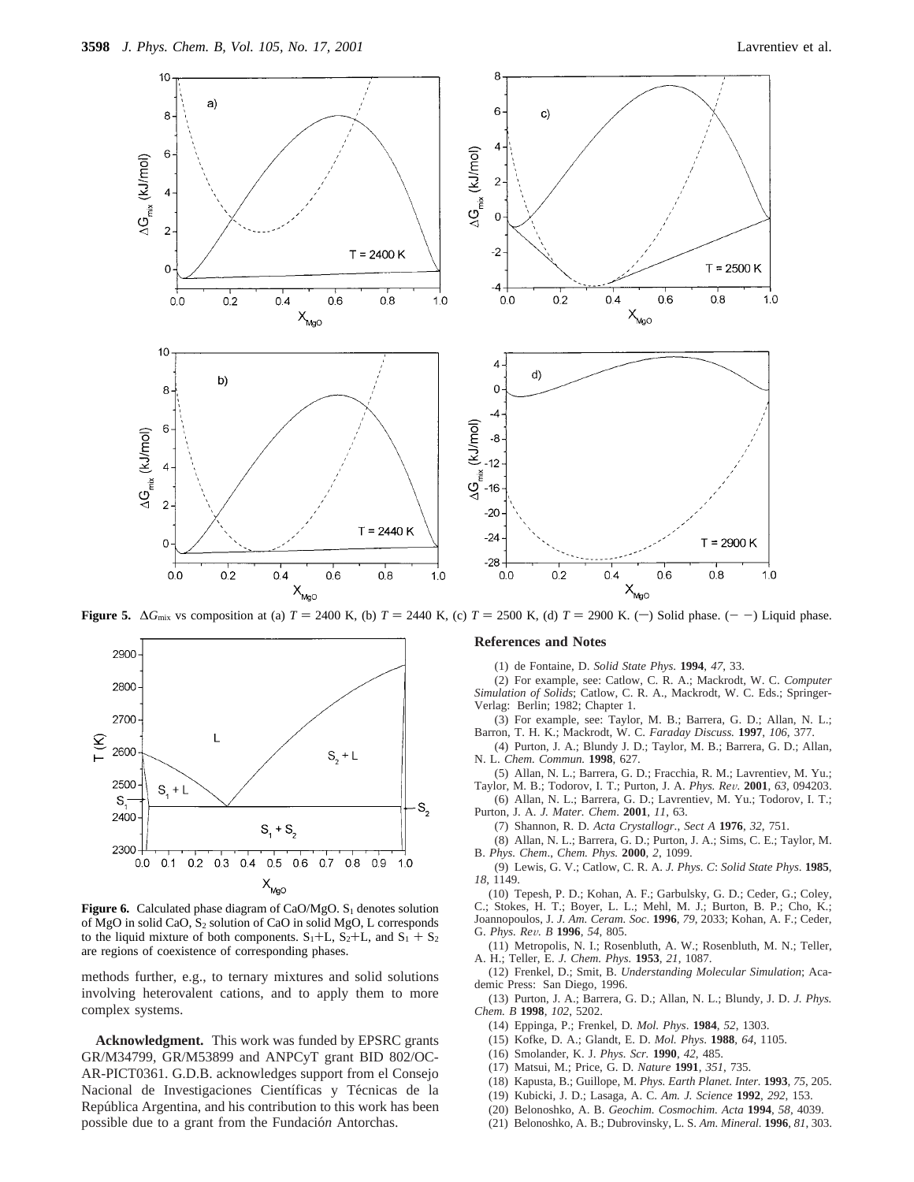

**Figure 5.**  $\Delta G_{\text{mix}}$  vs composition at (a) *T* = 2400 K, (b) *T* = 2440 K, (c) *T* = 2500 K, (d) *T* = 2900 K. (−) Solid phase. (- -) Liquid phase.



**Figure 6.** Calculated phase diagram of CaO/MgO.  $S_1$  denotes solution of MgO in solid CaO,  $S_2$  solution of CaO in solid MgO, L corresponds to the liquid mixture of both components.  $S_1 + L$ ,  $S_2 + L$ , and  $S_1 + S_2$ are regions of coexistence of corresponding phases.

methods further, e.g., to ternary mixtures and solid solutions involving heterovalent cations, and to apply them to more complex systems.

**Acknowledgment.** This work was funded by EPSRC grants GR/M34799, GR/M53899 and ANPCyT grant BID 802/OC-AR-PICT0361. G.D.B. acknowledges support from el Consejo Nacional de Investigaciones Científicas y Técnicas de la República Argentina, and his contribution to this work has been possible due to a grant from the Fundación Antorchas.

#### **References and Notes**

(1) de Fontaine, D. *Solid State Phys*. **1994**, *47*, 33.

(2) For example, see: Catlow, C. R. A.; Mackrodt, W. C. *Computer Simulation of Solids*; Catlow, C. R. A., Mackrodt, W. C. Eds.; Springer-Verlag: Berlin; 1982; Chapter 1.

(3) For example, see: Taylor, M. B.; Barrera, G. D.; Allan, N. L.; Barron, T. H. K.; Mackrodt, W. C. *Faraday Discuss.* **1997**, *106*, 377.

(4) Purton, J. A.; Blundy J. D.; Taylor, M. B.; Barrera, G. D.; Allan, N. L. *Chem. Commun.* **1998**, 627.

(5) Allan, N. L.; Barrera, G. D.; Fracchia, R. M.; Lavrentiev, M. Yu.; Taylor, M. B.; Todorov, I. T.; Purton, J. A. *Phys. Re*V*.* **<sup>2001</sup>**, *<sup>63</sup>*, 094203.

(6) Allan, N. L.; Barrera, G. D.; Lavrentiev, M. Yu.; Todorov, I. T.; Purton, J. A. *J. Mater. Chem*. **2001**, *11*, 63.

(7) Shannon, R. D. *Acta Crystallogr*., *Sect A* **1976**, *32*, 751.

(8) Allan, N. L.; Barrera, G. D.; Purton, J. A.; Sims, C. E.; Taylor, M. B. *Phys. Chem*., *Chem. Phys.* **2000**, *2*, 1099.

(9) Lewis, G. V.; Catlow, C. R. A. *J. Phys. C*: *Solid State Phys*. **1985**, *18*, 1149.

(10) Tepesh, P. D.; Kohan, A. F.; Garbulsky, G. D.; Ceder, G.; Coley, C.; Stokes, H. T.; Boyer, L. L.; Mehl, M. J.; Burton, B. P.; Cho, K.; Joannopoulos, J. *J. Am. Ceram. Soc*. **1996**, *79*, 2033; Kohan, A. F.; Ceder, G. *Phys. Re*V*. B* **<sup>1996</sup>**, *<sup>54</sup>*, 805.

(11) Metropolis, N. I.; Rosenbluth, A. W.; Rosenbluth, M. N.; Teller,

A. H.; Teller, E. *J. Chem. Phys.* **1953**, *21*, 1087. (12) Frenkel, D.; Smit, B. *Understanding Molecular Simulation*; Aca-

demic Press: San Diego, 1996.

(13) Purton, J. A.; Barrera, G. D.; Allan, N. L.; Blundy, J. D. *J. Phys. Chem. B* **1998**, *102*, 5202.

- (14) Eppinga, P.; Frenkel, D. *Mol. Phys*. **1984**, *52*, 1303.
- (15) Kofke, D. A.; Glandt, E. D. *Mol. Phys*. **1988**, *64*, 1105.
- (16) Smolander, K. J. *Phys. Scr.* **1990**, *42*, 485.
- (17) Matsui, M.; Price, G. D. *Nature* **1991**, *351*, 735.
- (18) Kapusta, B.; Guillope, M. *Phys. Earth Planet. Inter.* **1993**, *75*, 205.
- (19) Kubicki, J. D.; Lasaga, A. C. *Am. J. Science* **1992**, *292*, 153.
- (20) Belonoshko, A. B. *Geochim. Cosmochim. Acta* **1994**, *58*, 4039.
- (21) Belonoshko, A. B.; Dubrovinsky, L. S. *Am. Mineral.* **1996**, *81*, 303.